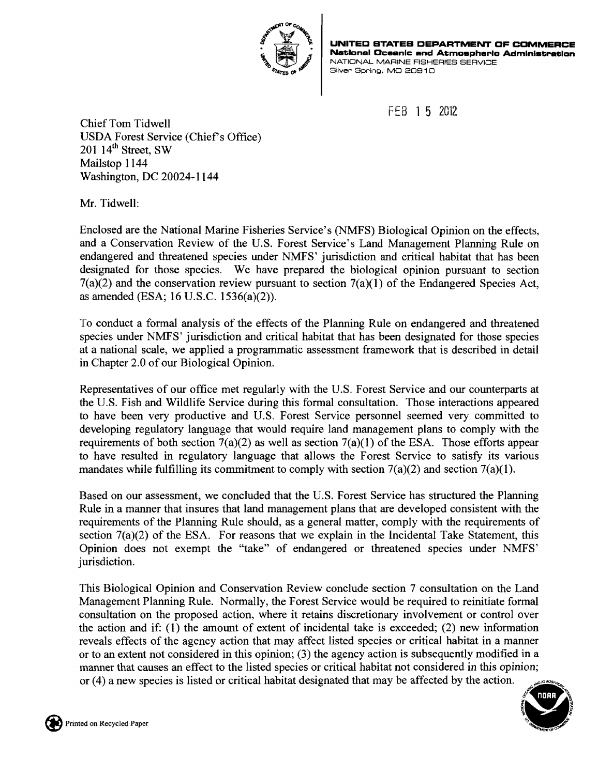

**UNITED STATES DEPARTMENT OF COMMERCE National Oceanic and Atmospheric Administration** NATIONAL MARINE FISHERIES SERVICE Silver Spring, MO 20910

FEB 1 5 2012

Chief Tom Tidwell USDA Forest Service (Chief's Office)  $201$  14<sup>th</sup> Street, SW Mailstop 1144 Washington, DC 20024-1144

Mr. Tidwell:

Enclosed are the National Marine Fisheries Service's (NMFS) Biological Opinion on the effects, and a Conservation Review of the U.S. Forest Service's Land Management Planning Rule on endangered and threatened species under NMFS' jurisdiction and critical habitat that has been designated for those species. We have prepared the biological opinion pursuant to section  $7(a)(2)$  and the conservation review pursuant to section  $7(a)(1)$  of the Endangered Species Act, as amended (ESA; 16 U.S.C. 1536(a)(2».

To conduct a formal analysis of the effects of the Planning Rule on endangered and threatened species under NMFS' jurisdiction and critical habitat that has been designated for those species at a national scale, we applied a programmatic assessment framework that is described in detail in Chapter 2.0 of our Biological Opinion.

Representatives of our office met regularly with the U.S. Forest Service and our counterparts at the U.S. Fish and Wildlife Service during this formal consultation. Those interactions appeared to have been very productive and U.S. Forest Service personnel seemed very committed to developing regulatory language that would require land management plans to comply with the requirements of both section  $7(a)(2)$  as well as section  $7(a)(1)$  of the ESA. Those efforts appear to have resulted in regulatory language that allows the Forest Service to satisfy its various mandates while fulfilling its commitment to comply with section  $7(a)(2)$  and section  $7(a)(1)$ .

Based on our assessment, we concluded that the U.S. Forest Service has structured the Planning Rule in a manner that insures that land management plans that are developed consistent with the requirements of the Planning Rule should, as a general matter, comply with the requirements of section  $7(a)(2)$  of the ESA. For reasons that we explain in the Incidental Take Statement, this Opinion does not exempt the "take" of endangered or threatened species under NMFS' jurisdiction.

This Biological Opinion and Conservation Review conclude section 7 consultation on the Land Management Planning Rule. Normally, the Forest Service would be required to reinitiate formal consultation on the proposed action, where it retains discretionary involvement or control over the action and if: (1) the amount of extent of incidental take is exceeded; (2) new information reveals effects of the agency action that may affect listed species or critical habitat in a manner or to an extent not considered in this opinion; (3) the agency action is subsequently modified in a Frinted on Recycled Paper<br>
Printed on Recycled Paper<br>
Printed on Recycled Paper or  $(4)$  a new species is listed or critical habitat designated that may be affected by the action.